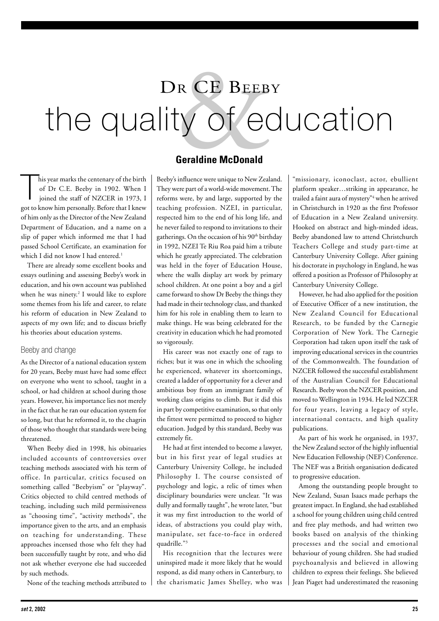# R CE BEEB<br>
ty of etal<br>
Geraldine McDonald the quality of education DR CE BEEBY

 $\begin{bmatrix} 1 \\ 1 \\ 1 \end{bmatrix}$ his year marks the centenary of the birth of Dr C.E. Beeby in 1902. When I joined the staff of NZCER in 1973, I got to know him personally. Before that I knew of him only as the Director of the New Zealand Department of Education, and a name on a slip of paper which informed me that I had passed School Certificate, an examination for which I did not know I had entered.<sup>1</sup>

There are already some excellent books and essays outlining and assessing Beeby's work in education, and his own account was published when he was ninety.2 I would like to explore some themes from his life and career, to relate his reform of education in New Zealand to aspects of my own life; and to discuss briefly his theories about education systems.

#### Beeby and change

As the Director of a national education system for 20 years, Beeby must have had some effect on everyone who went to school, taught in a school, or had children at school during those years. However, his importance lies not merely in the fact that he ran our education system for so long, but that he reformed it, to the chagrin of those who thought that standards were being threatened.

When Beeby died in 1998, his obituaries included accounts of controversies over teaching methods associated with his term of office. In particular, critics focused on something called "Beebyism" or "playway". Critics objected to child centred methods of teaching, including such mild permissiveness as "choosing time", "activity methods", the importance given to the arts, and an emphasis on teaching for understanding. These approaches incensed those who felt they had been successfully taught by rote, and who did not ask whether everyone else had succeeded by such methods.

None of the teaching methods attributed to

### **Geraldine McDonald**

Beeby's influence were unique to New Zealand. They were part of a world-wide movement. The reforms were, by and large, supported by the teaching profession. NZEI, in particular, respected him to the end of his long life, and he never failed to respond to invitations to their gatherings. On the occasion of his 90<sup>th</sup> birthday in 1992, NZEI Te Riu Roa paid him a tribute which he greatly appreciated. The celebration was held in the foyer of Education House, where the walls display art work by primary school children. At one point a boy and a girl came forward to show Dr Beeby the things they had made in their technology class, and thanked him for his role in enabling them to learn to make things. He was being celebrated for the creativity in education which he had promoted so vigorously.

His career was not exactly one of rags to riches; but it was one in which the schooling he experienced, whatever its shortcomings, created a ladder of opportunity for a clever and ambitious boy from an immigrant family of working class origins to climb. But it did this in part by competitive examination, so that only the fittest were permitted to proceed to higher education. Judged by this standard, Beeby was extremely fit.

He had at first intended to become a lawyer, but in his first year of legal studies at Canterbury University College, he included Philosophy I. The course consisted of psychology and logic, a relic of times when disciplinary boundaries were unclear. "It was dully and formally taught", he wrote later, "but it was my first introduction to the world of ideas, of abstractions you could play with, manipulate, set face-to-face in ordered quadrille."3

His recognition that the lectures were uninspired made it more likely that he would respond, as did many others in Canterbury, to the charismatic James Shelley, who was "missionary, iconoclast, actor, ebullient platform speaker…striking in appearance, he trailed a faint aura of mystery"4 when he arrived in Christchurch in 1920 as the first Professor of Education in a New Zealand university. Hooked on abstract and high-minded ideas, Beeby abandoned law to attend Christchurch Teachers College and study part-time at Canterbury University College. After gaining his doctorate in psychology in England, he was offered a position as Professor of Philosophy at Canterbury University College.

However, he had also applied for the position of Executive Officer of a new institution, the New Zealand Council for Educational Research, to be funded by the Carnegie Corporation of New York. The Carnegie Corporation had taken upon itself the task of improving educational services in the countries of the Commonwealth. The foundation of NZCER followed the successful establishment of the Australian Council for Educational Research. Beeby won the NZCER position, and moved to Wellington in 1934. He led NZCER for four years, leaving a legacy of style, international contacts, and high quality publications.

As part of his work he organised, in 1937, the New Zealand sector of the highly influential New Education Fellowship (NEF) Conference. The NEF was a British organisation dedicated to progressive education.

Among the outstanding people brought to New Zealand, Susan Isaacs made perhaps the greatest impact. In England, she had established a school for young children using child centred and free play methods, and had written two books based on analysis of the thinking processes and the social and emotional behaviour of young children. She had studied psychoanalysis and believed in allowing children to express their feelings. She believed Jean Piaget had underestimated the reasoning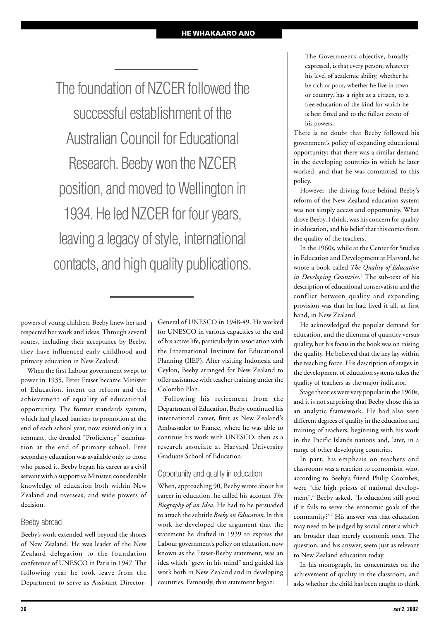#### **HE WHAKAARO ANO**

The foundation of NZCER followed the successful establishment of the Australian Council for Educational Research. Beeby won the NZCER position, and moved to Wellington in 1934. He led NZCER for four years, leaving a legacy of style, international contacts, and high quality publications.

powers of young children. Beeby knew her and respected her work and ideas. Through several routes, including their acceptance by Beeby, they have influenced early childhood and primary education in New Zealand.

When the first Labour government swept to power in 1935, Peter Fraser became Minister of Education, intent on reform and the achievement of equality of educational opportunity. The former standards system, which had placed barriers to promotion at the end of each school year, now existed only in a remnant, the dreaded "Proficiency" examination at the end of primary school. Free secondary education was available only to those who passed it. Beeby began his career as a civil servant with a supportive Minister, considerable knowledge of education both within New Zealand and overseas, and wide powers of decision.

#### Beeby abroad

Beeby's work extended well beyond the shores of New Zealand. He was leader of the New Zealand delegation to the foundation conference of UNESCO in Paris in 1947. The following year he took leave from the Department to serve as Assistant DirectorGeneral of UNESCO in 1948-49. He worked for UNESCO in various capacities to the end of his active life, particularly in association with the International Institute for Educational Planning (IIEP). After visiting Indonesia and Ceylon, Beeby arranged for New Zealand to offer assistance with teacher training under the Colombo Plan.

Following his retirement from the Department of Education, Beeby continued his international career, first as New Zealand's Ambassador to France, where he was able to continue his work with UNESCO, then as a research associate at Harvard University Graduate School of Education.

#### Opportunity and quality in education

When, approaching 90, Beeby wrote about his career in education, he called his account *The Biography of an Idea.* He had to be persuaded to attach the subtitle *Beeby on Education.*In this work he developed the argument that the statement he drafted in 1939 to express the Labour government's policy on education, now known as the Fraser-Beeby statement, was an idea which "grew in his mind" and guided his work both in New Zealand and in developing countries. Famously, that statement began:

The Government's objective, broadly expressed, is that every person, whatever his level of academic ability, whether he be rich or poor, whether he live in town or country, has a right as a citizen, to a free education of the kind for which he is best fitted and to the fullest extent of his powers.

There is no doubt that Beeby followed his government's policy of expanding educational opportunity; that there was a similar demand in the developing countries in which he later worked; and that he was committed to this policy.

However, the driving force behind Beeby's reform of the New Zealand education system was not simply access and opportunity. What drove Beeby, I think, was his concern for quality in education, and his belief that this comes from the quality of the teachers.

In the 1960s, while at the Center for Studies in Education and Development at Harvard, he wrote a book called *The Quality of Education in Developing Countries*. 5 The sub-text of his description of educational conservatism and the conflict between quality and expanding provision was that he had lived it all, at first hand, in New Zealand.

He acknowledged the popular demand for education, and the dilemma of quantity versus quality, but his focus in the book was on raising the quality. He believed that the key lay within the teaching force. His description of stages in the development of education systems takes the quality of teachers as the major indicator.

Stage theories were very popular in the 1960s, and it is not surprising that Beeby chose this as an analytic framework. He had also seen different degrees of quality in the education and training of teachers, beginning with his work in the Pacific Islands nations and, later, in a range of other developing countries.

In part, his emphasis on teachers and classrooms was a reaction to economists, who, according to Beeby's friend Philip Coombes, were "the high priests of national development".6 Beeby asked, "Is education still good if it fails to serve the economic goals of the community?"7 His answer was that education may need to be judged by social criteria which are broader than merely economic ones. The question, and his answer, seem just as relevant to New Zealand education today.

In his monograph, he concentrates on the achievement of quality in the classroom, and asks whether the child has been taught to think